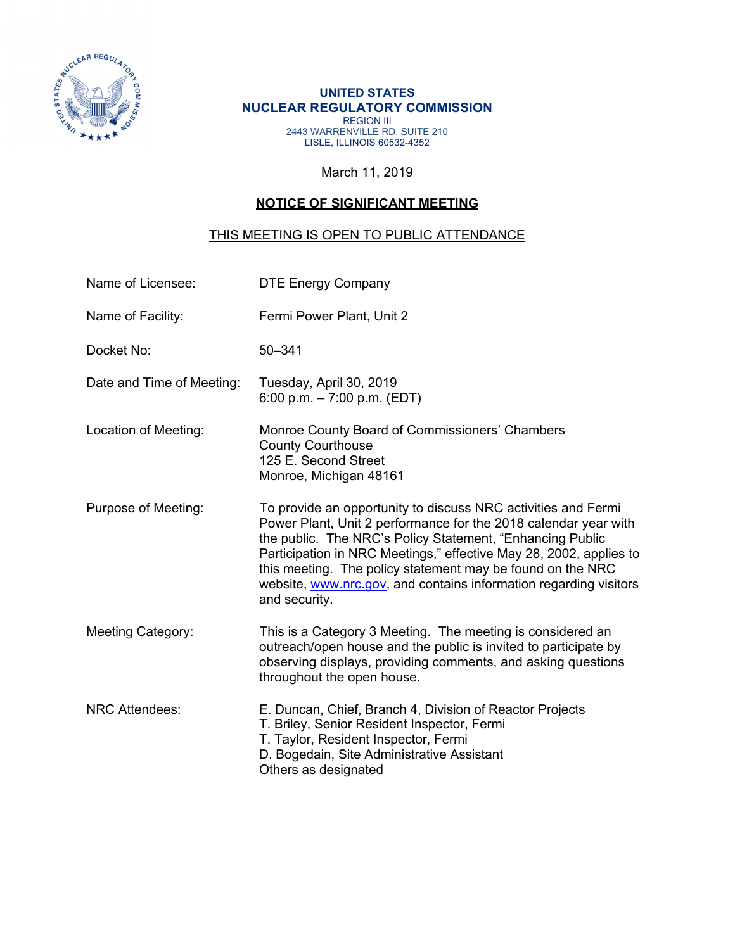

#### **UNITED STATES NUCLEAR REGULATORY COMMISSION Example 3** REGION III 2443 WARRENVILLE RD. SUITE 210 LISLE, ILLINOIS 60532-4352

### March 11, 2019

# **NOTICE OF SIGNIFICANT MEETING**

### THIS MEETING IS OPEN TO PUBLIC ATTENDANCE

| Name of Licensee:         | <b>DTE Energy Company</b>                                                                                                                                                                                                                                                                                                                                                                                               |
|---------------------------|-------------------------------------------------------------------------------------------------------------------------------------------------------------------------------------------------------------------------------------------------------------------------------------------------------------------------------------------------------------------------------------------------------------------------|
| Name of Facility:         | Fermi Power Plant, Unit 2                                                                                                                                                                                                                                                                                                                                                                                               |
| Docket No:                | $50 - 341$                                                                                                                                                                                                                                                                                                                                                                                                              |
| Date and Time of Meeting: | Tuesday, April 30, 2019<br>6:00 p.m. $-7:00$ p.m. (EDT)                                                                                                                                                                                                                                                                                                                                                                 |
| Location of Meeting:      | Monroe County Board of Commissioners' Chambers<br><b>County Courthouse</b><br>125 E. Second Street<br>Monroe, Michigan 48161                                                                                                                                                                                                                                                                                            |
| Purpose of Meeting:       | To provide an opportunity to discuss NRC activities and Fermi<br>Power Plant, Unit 2 performance for the 2018 calendar year with<br>the public. The NRC's Policy Statement, "Enhancing Public<br>Participation in NRC Meetings," effective May 28, 2002, applies to<br>this meeting. The policy statement may be found on the NRC<br>website, www.nrc.gov, and contains information regarding visitors<br>and security. |
| <b>Meeting Category:</b>  | This is a Category 3 Meeting. The meeting is considered an<br>outreach/open house and the public is invited to participate by<br>observing displays, providing comments, and asking questions<br>throughout the open house.                                                                                                                                                                                             |
| <b>NRC Attendees:</b>     | E. Duncan, Chief, Branch 4, Division of Reactor Projects<br>T. Briley, Senior Resident Inspector, Fermi<br>T. Taylor, Resident Inspector, Fermi<br>D. Bogedain, Site Administrative Assistant<br>Others as designated                                                                                                                                                                                                   |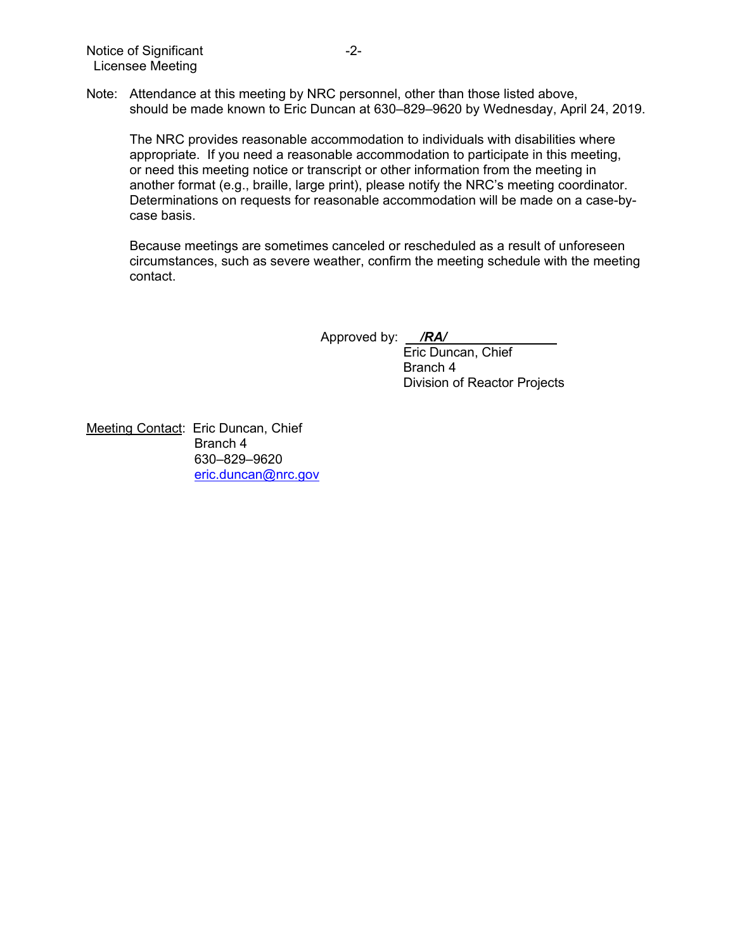Note: Attendance at this meeting by NRC personnel, other than those listed above, should be made known to Eric Duncan at 630–829–9620 by Wednesday, April 24, 2019.

The NRC provides reasonable accommodation to individuals with disabilities where appropriate. If you need a reasonable accommodation to participate in this meeting, or need this meeting notice or transcript or other information from the meeting in another format (e.g., braille, large print), please notify the NRC's meeting coordinator. Determinations on requests for reasonable accommodation will be made on a case-bycase basis.

Because meetings are sometimes canceled or rescheduled as a result of unforeseen circumstances, such as severe weather, confirm the meeting schedule with the meeting contact.

Approved by: */RA/* 

Eric Duncan, Chief Branch 4 Division of Reactor Projects

Meeting Contact: Eric Duncan, Chief Branch 4 630–829–9620 eric.duncan@nrc.gov